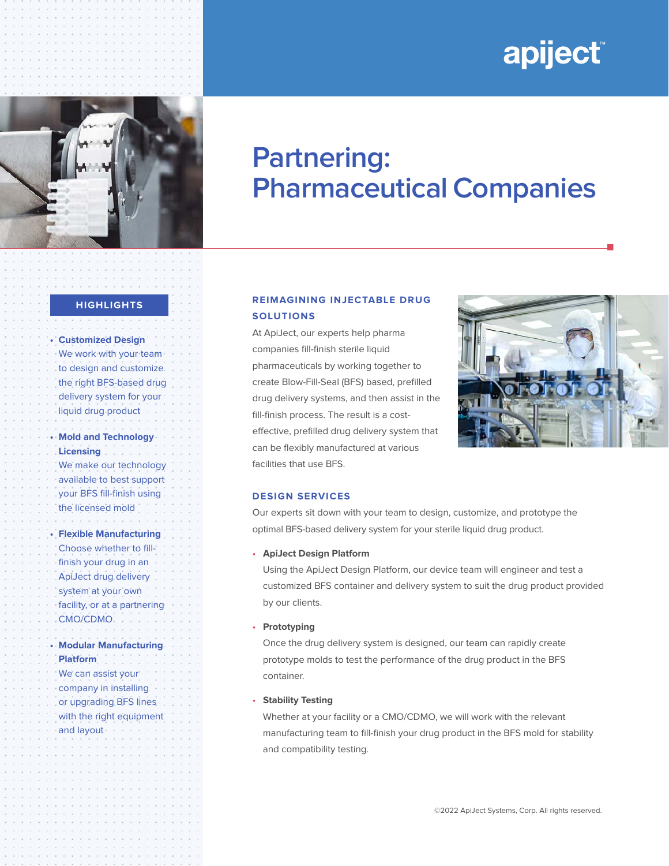# apiject®



## **Partnering: Pharmaceutical Companies**

#### **HIGHLIGHTS**

**• Customized Design**  We work with your team to design and customize the right BFS-based drug delivery system for your liquid drug product **• Mold and Technology Licensing**  We make our technology available to best support your BFS fill-finish using the licensed mold **• Flexible Manufacturing** Choose whether to fillfinish your drug in an ApiJect drug delivery system at your own facility, or at a partnering CMO/CDMO **• Modular Manufacturing Platform** We can assist your company in installing or upgrading BFS lines with the right equipment and layout

### **REIMAGINING INJECTABLE DRUG SOLUTIONS**

At ApiJect, our experts help pharma companies fill-finish sterile liquid pharmaceuticals by working together to create Blow-Fill-Seal (BFS) based, prefilled drug delivery systems, and then assist in the fill-finish process. The result is a costeffective, prefilled drug delivery system that can be flexibly manufactured at various facilities that use BFS.



n

#### **DESIGN SERVICES**

Our experts sit down with your team to design, customize, and prototype the optimal BFS-based delivery system for your sterile liquid drug product.

#### • **ApiJect Design Platform**

Using the ApiJect Design Platform, our device team will engineer and test a customized BFS container and delivery system to suit the drug product provided by our clients.

#### • **Prototyping**

Once the drug delivery system is designed, our team can rapidly create prototype molds to test the performance of the drug product in the BFS container.

#### • **Stability Testing**

Whether at your facility or a CMO/CDMO, we will work with the relevant manufacturing team to fill-finish your drug product in the BFS mold for stability and compatibility testing.